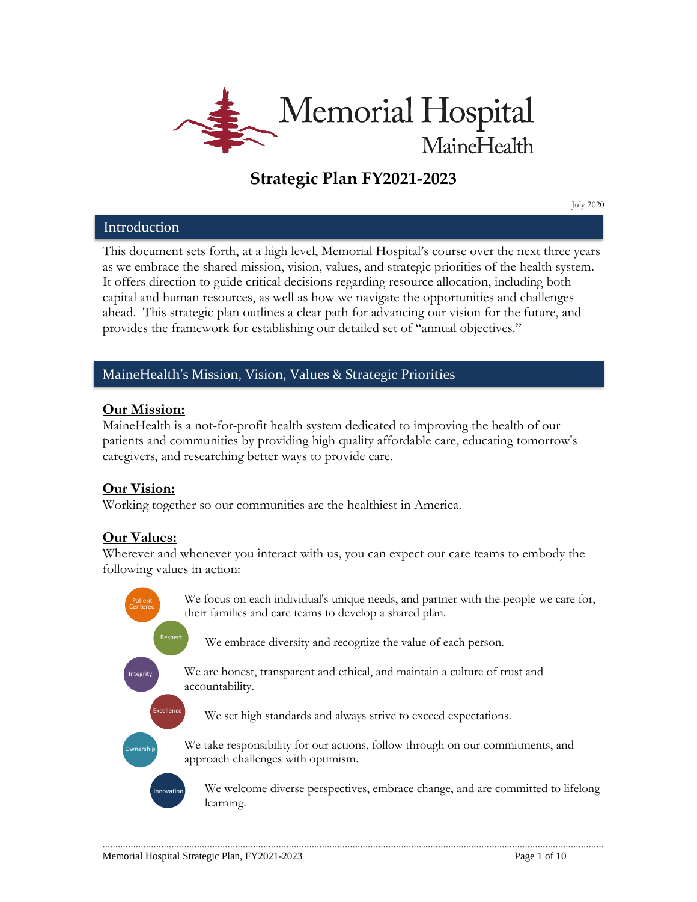

# **Strategic Plan FY2021-2023**

July 2020

### Introduction

This document sets forth, at a high level, Memorial Hospital's course over the next three years as we embrace the shared mission, vision, values, and strategic priorities of the health system. It offers direction to guide critical decisions regarding resource allocation, including both capital and human resources, as well as how we navigate the opportunities and challenges ahead. This strategic plan outlines a clear path for advancing our vision for the future, and provides the framework for establishing our detailed set of "annual objectives."

# MaineHealth's Mission, Vision, Values & Strategic Priorities

### **Our Mission:**

MaineHealth is a not-for-profit health system dedicated to improving the health of our patients and communities by providing high quality affordable care, educating tomorrow's caregivers, and researching better ways to provide care.

# **Our Vision:**

Working together so our communities are the healthiest in America.

# **Our Values:**

Wherever and whenever you interact with us, you can expect our care teams to embody the following values in action:

We focus on each individual's unique needs, and partner with the people we care for, their families and care teams to develop a shared plan. We embrace diversity and recognize the value of each person. We are honest, transparent and ethical, and maintain a culture of trust and accountability. We set high standards and always strive to exceed expectations. We take responsibility for our actions, follow through on our commitments, and approach challenges with optimism. Patient Respect Integrity Excellence **Ownership** Innovation Centered

............................................................................................................................. .......................................................................

We welcome diverse perspectives, embrace change, and are committed to lifelong learning.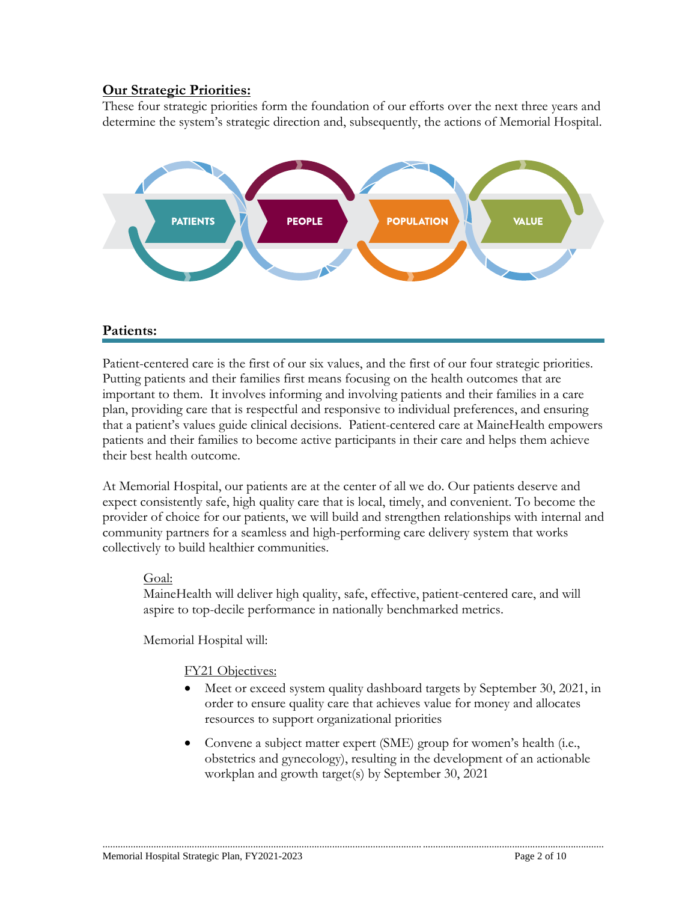# **Our Strategic Priorities:**

These four strategic priorities form the foundation of our efforts over the next three years and determine the system's strategic direction and, subsequently, the actions of Memorial Hospital.



# **Patients:**

Patient-centered care is the first of our six values, and the first of our four strategic priorities. Putting patients and their families first means focusing on the health outcomes that are important to them. It involves informing and involving patients and their families in a care plan, providing care that is respectful and responsive to individual preferences, and ensuring that a patient's values guide clinical decisions. Patient-centered care at MaineHealth empowers patients and their families to become active participants in their care and helps them achieve their best health outcome.

At Memorial Hospital, our patients are at the center of all we do. Our patients deserve and expect consistently safe, high quality care that is local, timely, and convenient. To become the provider of choice for our patients, we will build and strengthen relationships with internal and community partners for a seamless and high-performing care delivery system that works collectively to build healthier communities.

### Goal:

MaineHealth will deliver high quality, safe, effective, patient-centered care, and will aspire to top-decile performance in nationally benchmarked metrics.

Memorial Hospital will:

### FY21 Objectives:

- Meet or exceed system quality dashboard targets by September 30, 2021, in order to ensure quality care that achieves value for money and allocates resources to support organizational priorities
- Convene a subject matter expert (SME) group for women's health (i.e., obstetrics and gynecology), resulting in the development of an actionable workplan and growth target(s) by September 30, 2021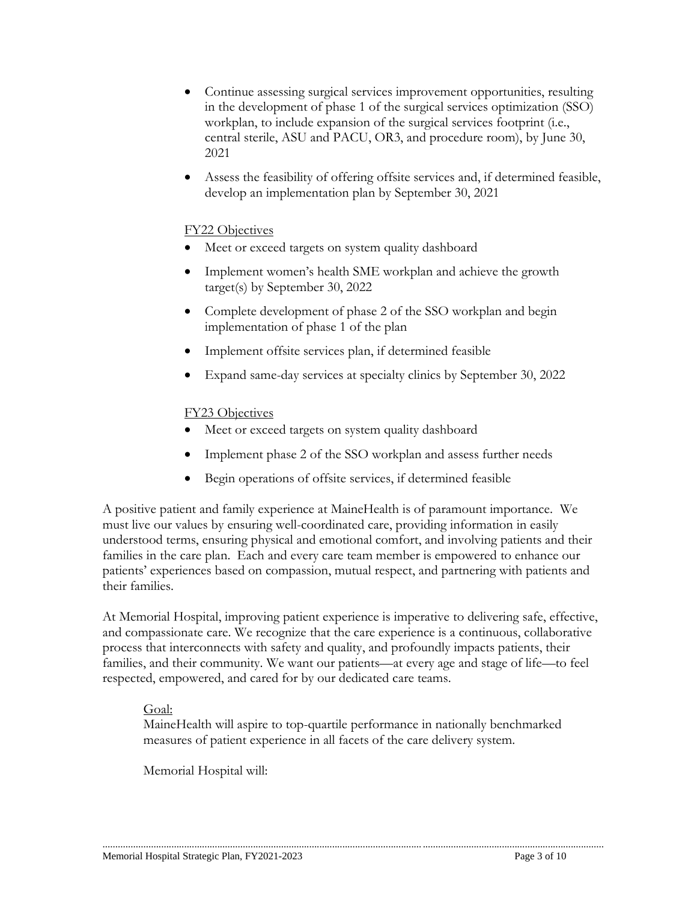- Continue assessing surgical services improvement opportunities, resulting in the development of phase 1 of the surgical services optimization (SSO) workplan, to include expansion of the surgical services footprint (i.e., central sterile, ASU and PACU, OR3, and procedure room), by June 30, 2021
- Assess the feasibility of offering offsite services and, if determined feasible, develop an implementation plan by September 30, 2021

### FY22 Objectives

- Meet or exceed targets on system quality dashboard
- Implement women's health SME workplan and achieve the growth target(s) by September 30, 2022
- Complete development of phase 2 of the SSO workplan and begin implementation of phase 1 of the plan
- Implement offsite services plan, if determined feasible
- Expand same-day services at specialty clinics by September 30, 2022

### FY23 Objectives

- Meet or exceed targets on system quality dashboard
- Implement phase 2 of the SSO workplan and assess further needs
- Begin operations of offsite services, if determined feasible

A positive patient and family experience at MaineHealth is of paramount importance. We must live our values by ensuring well-coordinated care, providing information in easily understood terms, ensuring physical and emotional comfort, and involving patients and their families in the care plan. Each and every care team member is empowered to enhance our patients' experiences based on compassion, mutual respect, and partnering with patients and their families.

At Memorial Hospital, improving patient experience is imperative to delivering safe, effective, and compassionate care. We recognize that the care experience is a continuous, collaborative process that interconnects with safety and quality, and profoundly impacts patients, their families, and their community. We want our patients—at every age and stage of life—to feel respected, empowered, and cared for by our dedicated care teams.

### Goal:

MaineHealth will aspire to top-quartile performance in nationally benchmarked measures of patient experience in all facets of the care delivery system.

............................................................................................................................. .......................................................................

Memorial Hospital will: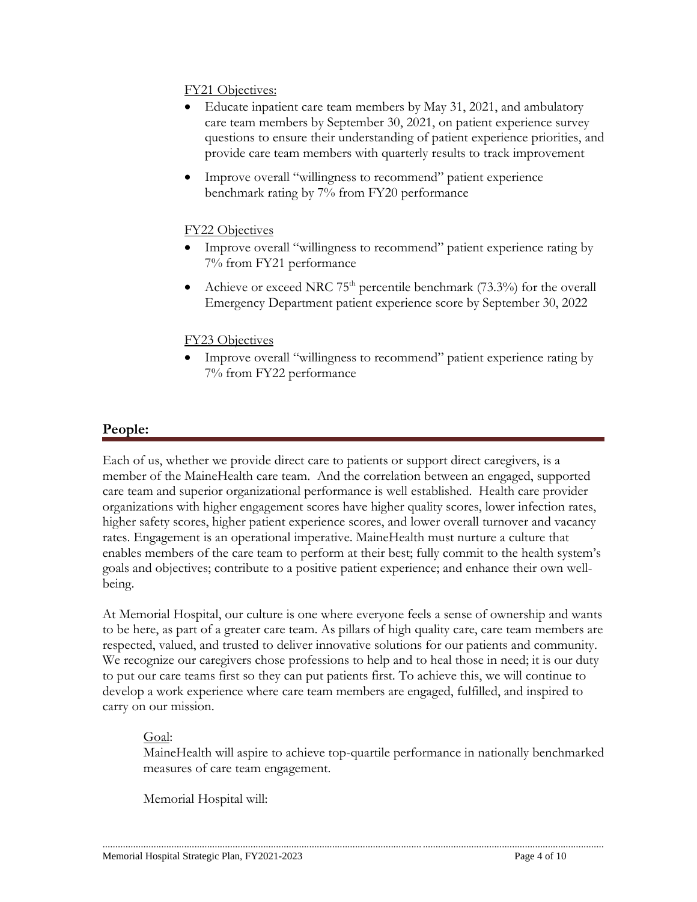### FY21 Objectives:

- Educate inpatient care team members by May 31, 2021, and ambulatory care team members by September 30, 2021, on patient experience survey questions to ensure their understanding of patient experience priorities, and provide care team members with quarterly results to track improvement
- Improve overall "willingness to recommend" patient experience benchmark rating by 7% from FY20 performance

### FY22 Objectives

- Improve overall "willingness to recommend" patient experience rating by 7% from FY21 performance
- Achieve or exceed NRC  $75<sup>th</sup>$  percentile benchmark (73.3%) for the overall Emergency Department patient experience score by September 30, 2022

### FY23 Objectives

 Improve overall "willingness to recommend" patient experience rating by 7% from FY22 performance

# **People:**

Each of us, whether we provide direct care to patients or support direct caregivers, is a member of the MaineHealth care team. And the correlation between an engaged, supported care team and superior organizational performance is well established. Health care provider organizations with higher engagement scores have higher quality scores, lower infection rates, higher safety scores, higher patient experience scores, and lower overall turnover and vacancy rates. Engagement is an operational imperative. MaineHealth must nurture a culture that enables members of the care team to perform at their best; fully commit to the health system's goals and objectives; contribute to a positive patient experience; and enhance their own wellbeing.

At Memorial Hospital, our culture is one where everyone feels a sense of ownership and wants to be here, as part of a greater care team. As pillars of high quality care, care team members are respected, valued, and trusted to deliver innovative solutions for our patients and community. We recognize our caregivers chose professions to help and to heal those in need; it is our duty to put our care teams first so they can put patients first. To achieve this, we will continue to develop a work experience where care team members are engaged, fulfilled, and inspired to carry on our mission.

### Goal:

MaineHealth will aspire to achieve top-quartile performance in nationally benchmarked measures of care team engagement.

Memorial Hospital will: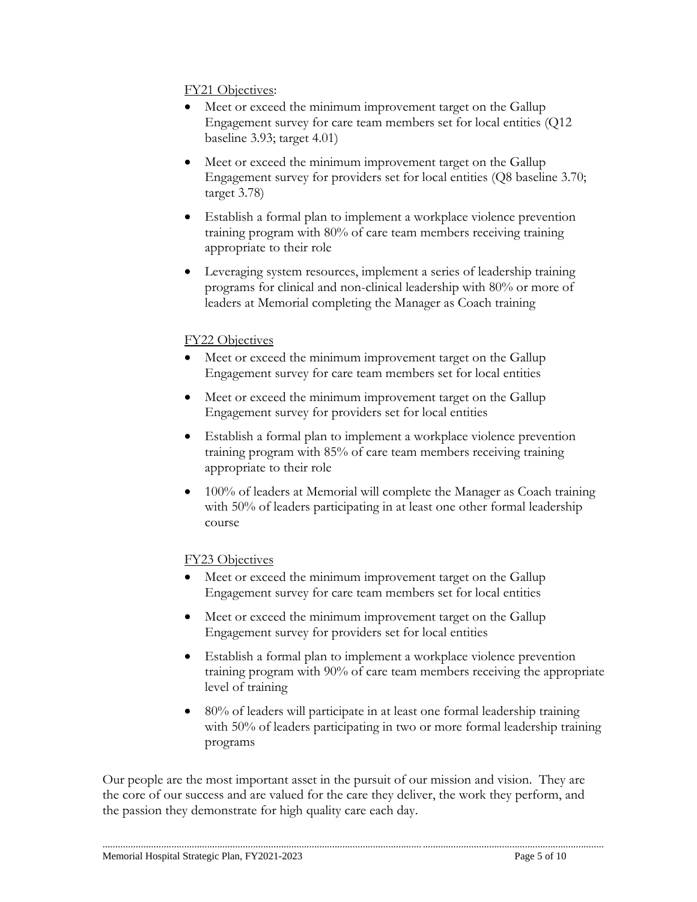### FY21 Objectives:

- Meet or exceed the minimum improvement target on the Gallup Engagement survey for care team members set for local entities (Q12 baseline 3.93; target 4.01)
- Meet or exceed the minimum improvement target on the Gallup Engagement survey for providers set for local entities (Q8 baseline 3.70; target 3.78)
- Establish a formal plan to implement a workplace violence prevention training program with 80% of care team members receiving training appropriate to their role
- Leveraging system resources, implement a series of leadership training programs for clinical and non-clinical leadership with 80% or more of leaders at Memorial completing the Manager as Coach training

### FY22 Objectives

- Meet or exceed the minimum improvement target on the Gallup Engagement survey for care team members set for local entities
- Meet or exceed the minimum improvement target on the Gallup Engagement survey for providers set for local entities
- Establish a formal plan to implement a workplace violence prevention training program with 85% of care team members receiving training appropriate to their role
- 100% of leaders at Memorial will complete the Manager as Coach training with 50% of leaders participating in at least one other formal leadership course

# FY23 Objectives

- Meet or exceed the minimum improvement target on the Gallup Engagement survey for care team members set for local entities
- Meet or exceed the minimum improvement target on the Gallup Engagement survey for providers set for local entities
- Establish a formal plan to implement a workplace violence prevention training program with 90% of care team members receiving the appropriate level of training
- 80% of leaders will participate in at least one formal leadership training with 50% of leaders participating in two or more formal leadership training programs

Our people are the most important asset in the pursuit of our mission and vision. They are the core of our success and are valued for the care they deliver, the work they perform, and the passion they demonstrate for high quality care each day.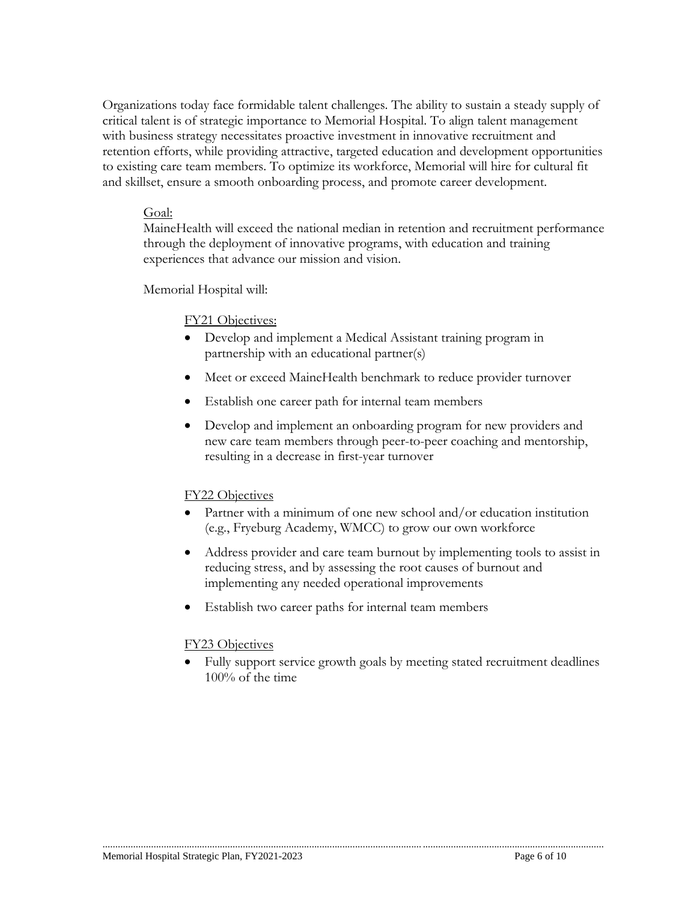Organizations today face formidable talent challenges. The ability to sustain a steady supply of critical talent is of strategic importance to Memorial Hospital. To align talent management with business strategy necessitates proactive investment in innovative recruitment and retention efforts, while providing attractive, targeted education and development opportunities to existing care team members. To optimize its workforce, Memorial will hire for cultural fit and skillset, ensure a smooth onboarding process, and promote career development.

#### Goal:

MaineHealth will exceed the national median in retention and recruitment performance through the deployment of innovative programs, with education and training experiences that advance our mission and vision.

Memorial Hospital will:

### FY21 Objectives:

- Develop and implement a Medical Assistant training program in partnership with an educational partner(s)
- Meet or exceed MaineHealth benchmark to reduce provider turnover
- Establish one career path for internal team members
- Develop and implement an onboarding program for new providers and new care team members through peer-to-peer coaching and mentorship, resulting in a decrease in first-year turnover

### FY22 Objectives

- Partner with a minimum of one new school and/or education institution (e.g., Fryeburg Academy, WMCC) to grow our own workforce
- Address provider and care team burnout by implementing tools to assist in reducing stress, and by assessing the root causes of burnout and implementing any needed operational improvements
- Establish two career paths for internal team members

### FY23 Objectives

 Fully support service growth goals by meeting stated recruitment deadlines 100% of the time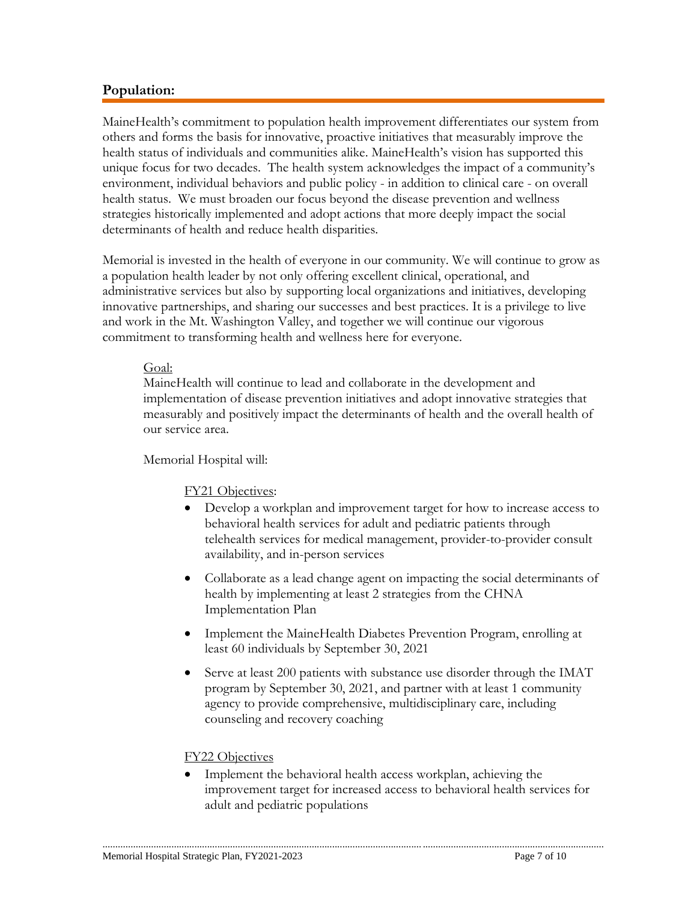# **Population:**

MaineHealth's commitment to population health improvement differentiates our system from others and forms the basis for innovative, proactive initiatives that measurably improve the health status of individuals and communities alike. MaineHealth's vision has supported this unique focus for two decades. The health system acknowledges the impact of a community's environment, individual behaviors and public policy - in addition to clinical care - on overall health status. We must broaden our focus beyond the disease prevention and wellness strategies historically implemented and adopt actions that more deeply impact the social determinants of health and reduce health disparities.

Memorial is invested in the health of everyone in our community. We will continue to grow as a population health leader by not only offering excellent clinical, operational, and administrative services but also by supporting local organizations and initiatives, developing innovative partnerships, and sharing our successes and best practices. It is a privilege to live and work in the Mt. Washington Valley, and together we will continue our vigorous commitment to transforming health and wellness here for everyone.

### Goal:

MaineHealth will continue to lead and collaborate in the development and implementation of disease prevention initiatives and adopt innovative strategies that measurably and positively impact the determinants of health and the overall health of our service area.

### Memorial Hospital will:

### FY21 Objectives:

- Develop a workplan and improvement target for how to increase access to behavioral health services for adult and pediatric patients through telehealth services for medical management, provider-to-provider consult availability, and in-person services
- Collaborate as a lead change agent on impacting the social determinants of health by implementing at least 2 strategies from the CHNA Implementation Plan
- Implement the MaineHealth Diabetes Prevention Program, enrolling at least 60 individuals by September 30, 2021
- Serve at least 200 patients with substance use disorder through the IMAT program by September 30, 2021, and partner with at least 1 community agency to provide comprehensive, multidisciplinary care, including counseling and recovery coaching

#### FY22 Objectives

 Implement the behavioral health access workplan, achieving the improvement target for increased access to behavioral health services for adult and pediatric populations

............................................................................................................................. .......................................................................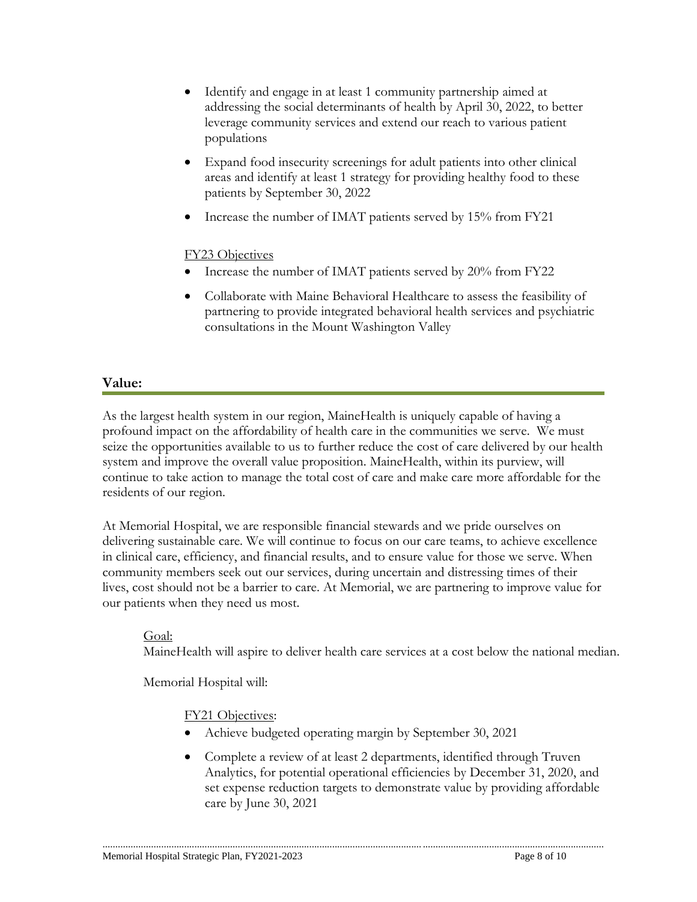- Identify and engage in at least 1 community partnership aimed at addressing the social determinants of health by April 30, 2022, to better leverage community services and extend our reach to various patient populations
- Expand food insecurity screenings for adult patients into other clinical areas and identify at least 1 strategy for providing healthy food to these patients by September 30, 2022
- Increase the number of IMAT patients served by 15% from FY21

# FY23 Objectives

- Increase the number of IMAT patients served by 20% from FY22
- Collaborate with Maine Behavioral Healthcare to assess the feasibility of partnering to provide integrated behavioral health services and psychiatric consultations in the Mount Washington Valley

# **Value:**

As the largest health system in our region, MaineHealth is uniquely capable of having a profound impact on the affordability of health care in the communities we serve. We must seize the opportunities available to us to further reduce the cost of care delivered by our health system and improve the overall value proposition. MaineHealth, within its purview, will continue to take action to manage the total cost of care and make care more affordable for the residents of our region.

At Memorial Hospital, we are responsible financial stewards and we pride ourselves on delivering sustainable care. We will continue to focus on our care teams, to achieve excellence in clinical care, efficiency, and financial results, and to ensure value for those we serve. When community members seek out our services, during uncertain and distressing times of their lives, cost should not be a barrier to care. At Memorial, we are partnering to improve value for our patients when they need us most.

### Goal:

MaineHealth will aspire to deliver health care services at a cost below the national median.

Memorial Hospital will:

# FY21 Objectives:

- Achieve budgeted operating margin by September 30, 2021
- Complete a review of at least 2 departments, identified through Truven Analytics, for potential operational efficiencies by December 31, 2020, and set expense reduction targets to demonstrate value by providing affordable care by June 30, 2021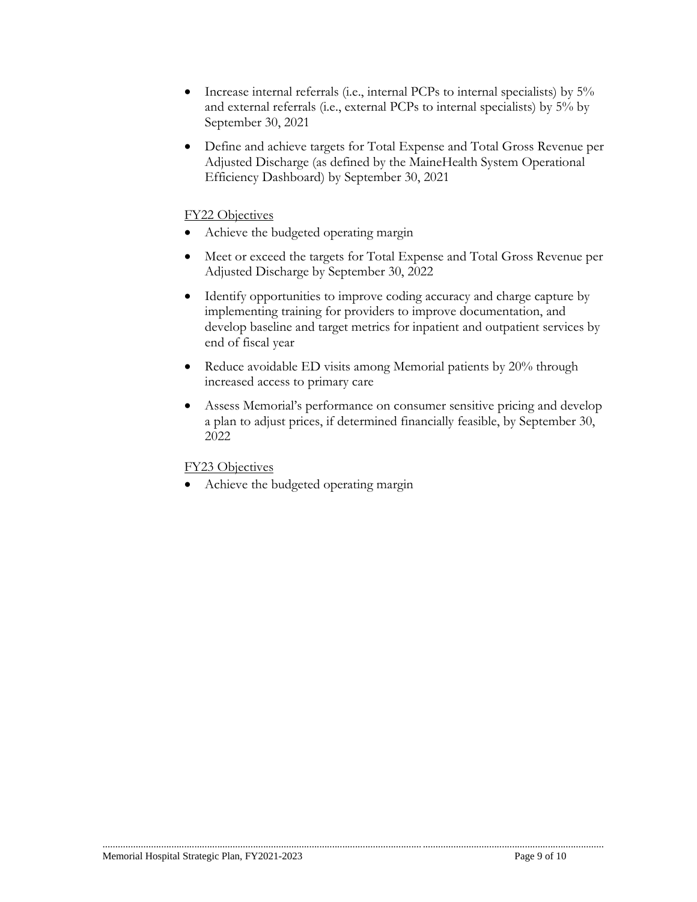- Increase internal referrals (i.e., internal PCPs to internal specialists) by 5% and external referrals (i.e., external PCPs to internal specialists) by 5% by September 30, 2021
- Define and achieve targets for Total Expense and Total Gross Revenue per Adjusted Discharge (as defined by the MaineHealth System Operational Efficiency Dashboard) by September 30, 2021

### FY22 Objectives

- Achieve the budgeted operating margin
- Meet or exceed the targets for Total Expense and Total Gross Revenue per Adjusted Discharge by September 30, 2022
- Identify opportunities to improve coding accuracy and charge capture by implementing training for providers to improve documentation, and develop baseline and target metrics for inpatient and outpatient services by end of fiscal year
- Reduce avoidable ED visits among Memorial patients by 20% through increased access to primary care

............................................................................................................................. .......................................................................

 Assess Memorial's performance on consumer sensitive pricing and develop a plan to adjust prices, if determined financially feasible, by September 30, 2022

### FY23 Objectives

• Achieve the budgeted operating margin